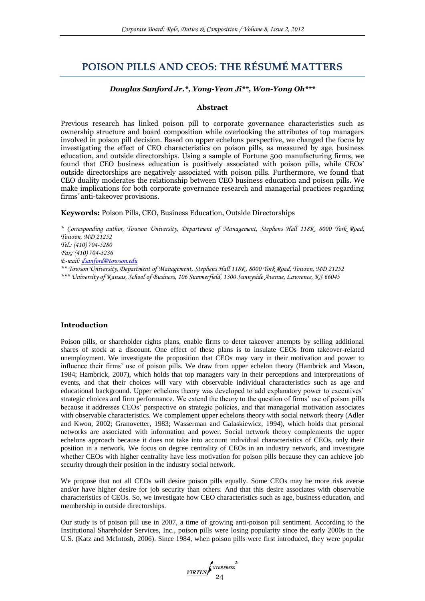# **POISON PILLS AND CEOS: THE RÉSUMÉ MATTERS**

## *Douglas Sanford Jr.\*, Yong-Yeon Ji\*\*, Won-Yong Oh\*\*\**

#### **Abstract**

Previous research has linked poison pill to corporate governance characteristics such as ownership structure and board composition while overlooking the attributes of top managers involved in poison pill decision. Based on upper echelons perspective, we changed the focus by investigating the effect of CEO characteristics on poison pills, as measured by age, business education, and outside directorships. Using a sample of Fortune 500 manufacturing firms, we found that CEO business education is positively associated with poison pills, while CEOs' outside directorships are negatively associated with poison pills. Furthermore, we found that CEO duality moderates the relationship between CEO business education and poison pills. We make implications for both corporate governance research and managerial practices regarding firms' anti-takeover provisions.

## **Keywords:** Poison Pills, CEO, Business Education, Outside Directorships

*\* Corresponding author, Towson University, Department of Management, Stephens Hall 118K, 8000 York Road, Towson, MD 21252 Tel.: (410) 704-5280 Fax: (410) 704-3236 E-mail: [dsanford@towson.edu](mailto:dsanford@towson.edu) \*\* Towson University, Department of Management, Stephens Hall 118K, 8000 York Road, Towson, MD 21252 \*\*\* University of Kansas, School of Business, 106 Summerfield, 1300 Sunnyside Avenue, Lawrence, KS 66045*

#### **Introduction**

Poison pills, or shareholder rights plans, enable firms to deter takeover attempts by selling additional shares of stock at a discount. One effect of these plans is to insulate CEOs from takeover-related unemployment. We investigate the proposition that CEOs may vary in their motivation and power to influence their firms' use of poison pills. We draw from upper echelon theory (Hambrick and Mason, 1984; Hambrick, 2007), which holds that top managers vary in their perceptions and interpretations of events, and that their choices will vary with observable individual characteristics such as age and educational background. Upper echelons theory was developed to add explanatory power to executives' strategic choices and firm performance. We extend the theory to the question of firms' use of poison pills because it addresses CEOs' perspective on strategic policies, and that managerial motivation associates with observable characteristics. We complement upper echelons theory with social network theory (Adler and Kwon, 2002; Granovetter, 1983; Wasserman and Galaskiewicz, 1994), which holds that personal networks are associated with information and power. Social network theory complements the upper echelons approach because it does not take into account individual characteristics of CEOs, only their position in a network. We focus on degree centrality of CEOs in an industry network, and investigate whether CEOs with higher centrality have less motivation for poison pills because they can achieve job security through their position in the industry social network.

We propose that not all CEOs will desire poison pills equally. Some CEOs may be more risk averse and/or have higher desire for job security than others. And that this desire associates with observable characteristics of CEOs. So, we investigate how CEO characteristics such as age, business education, and membership in outside directorships.

Our study is of poison pill use in 2007, a time of growing anti-poison pill sentiment. According to the Institutional Shareholder Services, Inc., poison pills were losing popularity since the early 2000s in the U.S. (Katz and McIntosh, 2006). Since 1984, when poison pills were first introduced, they were popular

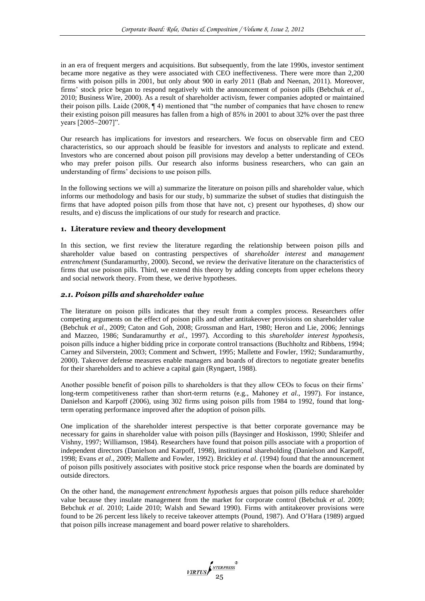in an era of frequent mergers and acquisitions. But subsequently, from the late 1990s, investor sentiment became more negative as they were associated with CEO ineffectiveness. There were more than 2,200 firms with poison pills in 2001, but only about 900 in early 2011 (Bab and Neenan, 2011). Moreover, firms' stock price began to respond negatively with the announcement of poison pills (Bebchuk *et al*., 2010; Business Wire, 2000). As a result of shareholder activism, fewer companies adopted or maintained their poison pills. Laide (2008, ¶ 4) mentioned that "the number of companies that have chosen to renew their existing poison pill measures has fallen from a high of 85% in 2001 to about 32% over the past three years [2005~2007]".

Our research has implications for investors and researchers. We focus on observable firm and CEO characteristics, so our approach should be feasible for investors and analysts to replicate and extend. Investors who are concerned about poison pill provisions may develop a better understanding of CEOs who may prefer poison pills. Our research also informs business researchers, who can gain an understanding of firms' decisions to use poison pills.

In the following sections we will a) summarize the literature on poison pills and shareholder value, which informs our methodology and basis for our study, b) summarize the subset of studies that distinguish the firms that have adopted poison pills from those that have not, c) present our hypotheses, d) show our results, and e) discuss the implications of our study for research and practice.

## **1. Literature review and theory development**

In this section, we first review the literature regarding the relationship between poison pills and shareholder value based on contrasting perspectives of *shareholder interest* and *management entrenchment* (Sundaramurthy, 2000). Second, we review the derivative literature on the characteristics of firms that use poison pills. Third, we extend this theory by adding concepts from upper echelons theory and social network theory. From these, we derive hypotheses.

## *2.1. Poison pills and shareholder value*

The literature on poison pills indicates that they result from a complex process. Researchers offer competing arguments on the effect of poison pills and other antitakeover provisions on shareholder value (Bebchuk *et al*., 2009; Caton and Goh, 2008; Grossman and Hart, 1980; Heron and Lie, 2006; Jennings and Mazzeo, 1986; Sundaramurthy *et al*., 1997). According to this *shareholder interest hypothesis*, poison pills induce a higher bidding price in corporate control transactions (Buchholtz and Ribbens, 1994; Carney and Silverstein, 2003; Comment and Schwert, 1995; Mallette and Fowler, 1992; Sundaramurthy, 2000). Takeover defense measures enable managers and boards of directors to negotiate greater benefits for their shareholders and to achieve a capital gain (Ryngaert, 1988).

Another possible benefit of poison pills to shareholders is that they allow CEOs to focus on their firms' long-term competitiveness rather than short-term returns (e.g., Mahoney *et al*., 1997). For instance, Danielson and Karpoff (2006), using 302 firms using poison pills from 1984 to 1992, found that longterm operating performance improved after the adoption of poison pills.

One implication of the shareholder interest perspective is that better corporate governance may be necessary for gains in shareholder value with poison pills (Baysinger and Hoskisson, 1990; Shleifer and Vishny, 1997; Williamson, 1984). Researchers have found that poison pills associate with a proportion of independent directors (Danielson and Karpoff, 1998), institutional shareholding (Danielson and Karpoff, 1998; Evans *et al*., 2009; Mallette and Fowler, 1992). Brickley *et al*. (1994) found that the announcement of poison pills positively associates with positive stock price response when the boards are dominated by outside directors.

On the other hand, the *management entrenchment hypothesis* argues that poison pills reduce shareholder value because they insulate management from the market for corporate control (Bebchuk *et al*. 2009; Bebchuk *et al*. 2010; Laide 2010; Walsh and Seward 1990). Firms with antitakeover provisions were found to be 26 percent less likely to receive takeover attempts (Pound, 1987). And O'Hara (1989) argued that poison pills increase management and board power relative to shareholders.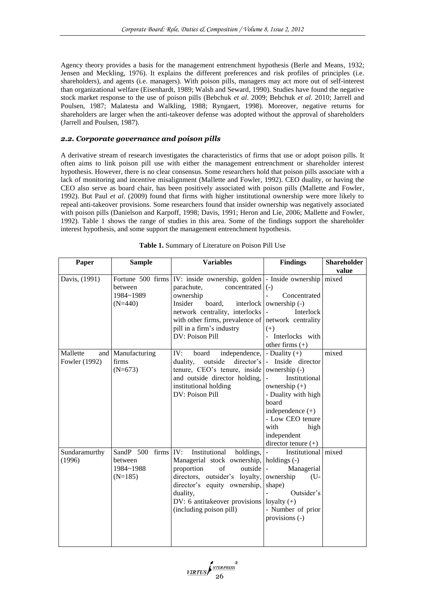Agency theory provides a basis for the management entrenchment hypothesis (Berle and Means, 1932; Jensen and Meckling, 1976). It explains the different preferences and risk profiles of principles (i.e. shareholders), and agents (i.e. managers). With poison pills, managers may act more out of self-interest than organizational welfare (Eisenhardt, 1989; Walsh and Seward, 1990). Studies have found the negative stock market response to the use of poison pills (Bebchuk *et al*. 2009; Bebchuk *et al*. 2010; Jarrell and Poulsen, 1987; Malatesta and Walkling, 1988; Ryngaert, 1998). Moreover, negative returns for shareholders are larger when the anti-takeover defense was adopted without the approval of shareholders (Jarrell and Poulsen, 1987).

## *2.2. Corporate governance and poison pills*

A derivative stream of research investigates the characteristics of firms that use or adopt poison pills. It often aims to link poison pill use with either the management entrenchment or shareholder interest hypothesis. However, there is no clear consensus. Some researchers hold that poison pills associate with a lack of monitoring and incentive misalignment (Mallette and Fowler, 1992). CEO duality, or having the CEO also serve as board chair, has been positively associated with poison pills (Mallette and Fowler, 1992). But Paul *et al*. (2009) found that firms with higher institutional ownership were more likely to repeal anti-takeover provisions. Some researchers found that insider ownership was negatively associated with poison pills (Danielson and Karpoff, 1998; Davis, 1991; Heron and Lie, 2006; Mallette and Fowler, 1992). Table 1 shows the range of studies in this area. Some of the findings support the shareholder interest hypothesis, and some support the management entrenchment hypothesis.

| Paper                     | <b>Sample</b>                                              | <b>Variables</b>                                                                                                                                                                                                                                                                               | <b>Findings</b>                                                                                                                                                                                                                                | <b>Shareholder</b><br>value |
|---------------------------|------------------------------------------------------------|------------------------------------------------------------------------------------------------------------------------------------------------------------------------------------------------------------------------------------------------------------------------------------------------|------------------------------------------------------------------------------------------------------------------------------------------------------------------------------------------------------------------------------------------------|-----------------------------|
| Davis, (1991)             | between<br>1984~1989<br>$(N=440)$                          | Fortune 500 firms $ IV:$ inside ownership, golden - Inside ownership mixed<br>parachute,<br>concentrated $\vert$ (-)<br>ownership<br>Insider<br>board,<br>network centrality, interlocks<br>with other firms, prevalence of network centrality<br>pill in a firm's industry<br>DV: Poison Pill | Concentrated<br>interlock ownership $(-)$<br>Interlock<br>$(+)$<br>- Interlocks with<br>other firms $(+)$                                                                                                                                      |                             |
| Mallette<br>Fowler (1992) | and Manufacturing<br>firms<br>$(N=673)$                    | IV:<br>independence,<br>board<br>director's<br>duality,<br>outside<br>tenure, CEO's tenure, inside<br>and outside director holding,<br>institutional holding<br>DV: Poison Pill                                                                                                                | - Duality $(+)$<br>Inside director<br>$\bar{\mathcal{L}}$<br>ownership (-)<br>Institutional<br>ownership $(+)$<br>- Duality with high<br>board<br>independence $(+)$<br>- Low CEO tenure<br>with<br>high<br>independent<br>director tenure (+) | mixed                       |
| Sundaramurthy<br>(1996)   | SandP $500$ firms IV:<br>between<br>1984~1988<br>$(N=185)$ | Institutional<br>holdings,<br>Managerial stock ownership, holdings (-)<br>proportion<br>of<br>outside<br>directors, outsider's loyalty,<br>director's equity ownership,<br>duality,<br>DV: 6 antitakeover provisions loyalty $(+)$<br>(including poison pill)                                  | Institutional mixed<br>Managerial<br>ownership<br>$(U -$<br>shape)<br>Outsider's<br>- Number of prior<br>provisions (-)                                                                                                                        |                             |

|  |  | Table 1. Summary of Literature on Poison Pill Use |  |  |
|--|--|---------------------------------------------------|--|--|
|--|--|---------------------------------------------------|--|--|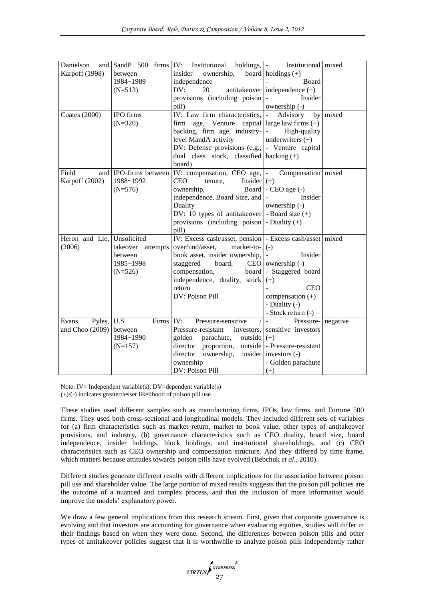| Danielson               |                                   | and SandP 500 firms IV: Institutional holdings,  - Institutional mixed   |                                   |          |  |  |  |
|-------------------------|-----------------------------------|--------------------------------------------------------------------------|-----------------------------------|----------|--|--|--|
| Karpoff (1998)          | between                           | insider<br>ownership, board holdings $(+)$                               |                                   |          |  |  |  |
|                         | 1984~1989                         | independence                                                             | <b>Board</b>                      |          |  |  |  |
|                         | $(N=513)$                         | DV:<br>20                                                                | antitakeover independence $(+)$   |          |  |  |  |
|                         |                                   | provisions (including poison)                                            | Insider                           |          |  |  |  |
|                         |                                   | pill)                                                                    | $ownership (-)$                   |          |  |  |  |
| Coates (2000)           | IPO firms                         | IV: Law firm characteristics,  -                                         | Advisory                          | by mixed |  |  |  |
|                         | $(N=320)$                         | firm age, Venture capital large law firms $(+)$                          |                                   |          |  |  |  |
|                         |                                   | backing, firm age, industry- $\vert$ -                                   | High-quality                      |          |  |  |  |
|                         |                                   | level MandA activity                                                     | underwriters $(+)$                |          |  |  |  |
|                         |                                   | DV: Defense provisions $(e.g.,]$ - Venture capital                       |                                   |          |  |  |  |
|                         |                                   | dual class stock, classified backing $(+)$                               |                                   |          |  |  |  |
|                         |                                   | board)                                                                   |                                   |          |  |  |  |
| Field                   |                                   | and IPO firms between IV: compensation, CEO age,  - Compensation   mixed |                                   |          |  |  |  |
| Karpoff (2002)          | 1988~1992                         | <b>CEO</b><br>tenure,<br>Insider $(+)$                                   |                                   |          |  |  |  |
|                         | $(N=576)$                         | ownership,                                                               | Board $\vert$ - CEO age $\vert$ - |          |  |  |  |
|                         |                                   | independence, Board Size, and  -                                         | Insider                           |          |  |  |  |
|                         |                                   | Duality                                                                  | ownership (-)                     |          |  |  |  |
|                         |                                   | DV: 10 types of antitakeover $\vert$ - Board size $(+)$                  |                                   |          |  |  |  |
|                         |                                   | provisions (including poison $\vert$ - Duality (+)                       |                                   |          |  |  |  |
|                         |                                   | pill)                                                                    |                                   |          |  |  |  |
| Heron and Lie,          | Unsolicited                       | IV: Excess cash/asset, pension   - Excess cash/asset   mixed             |                                   |          |  |  |  |
| (2006)                  | takeover attempts overfund/asset, | market-to- $ (-)$                                                        |                                   |          |  |  |  |
|                         | between                           | book asset, insider ownership,  -                                        | Insider                           |          |  |  |  |
|                         | 1985~1998                         | staggered<br>board,                                                      | $CEO$ ownership $(-)$             |          |  |  |  |
|                         | $(N=526)$                         | compensation,                                                            | board - Staggered board           |          |  |  |  |
|                         |                                   | independence, duality, stock $(+)$                                       |                                   |          |  |  |  |
|                         |                                   | return                                                                   | <b>CEO</b>                        |          |  |  |  |
|                         |                                   | DV: Poison Pill                                                          | compensation $(+)$                |          |  |  |  |
|                         |                                   |                                                                          | - Duality (-)                     |          |  |  |  |
|                         |                                   |                                                                          | - Stock return (-)                |          |  |  |  |
| Pyles, U.S.<br>Evans,   | Firms IV:                         | Pressure-sensitive                                                       | Pressure- negative                |          |  |  |  |
| and Choo (2009) between |                                   | Pressure-resistant                                                       | investors, sensitive investors    |          |  |  |  |
|                         | 1984~1990                         | golden<br>parachute,<br>outside $(+)$                                    |                                   |          |  |  |  |
|                         | $(N=157)$                         | director proportion, outside - Pressure-resistant                        |                                   |          |  |  |  |
|                         |                                   | director<br>ownership, insider investors (-)                             |                                   |          |  |  |  |
|                         |                                   | ownership                                                                | - Golden parachute                |          |  |  |  |
|                         |                                   | DV: Poison Pill                                                          | $(+)$                             |          |  |  |  |

Note: IV= Independent variable(s);  $DV =$ dependent variable(s) (+)/(-) indicates greater/lesser likelihood of poison pill use

These studies used different samples such as manufacturing firms, IPOs, law firms, and Fortune 500 firms. They used both cross-sectional and longitudinal models. They included different sets of variables for (a) firm characteristics such as market return, market to book value, other types of antitakeover provisions, and industry, (b) governance characteristics such as CEO duality, board size, board independence, insider holdings, block holdings, and institutional shareholdings, and (c) CEO characteristics such as CEO ownership and compensation structure. And they differed by time frame, which matters because attitudes towards poison pills have evolved (Bebchuk *et al*., 2010).

Different studies generate different results with different implications for the association between poison pill use and shareholder value. The large portion of mixed results suggests that the poison pill policies are the outcome of a nuanced and complex process, and that the inclusion of more information would improve the models' explanatory power.

We draw a few general implications from this research stream. First, given that corporate governance is evolving and that investors are accounting for governance when evaluating equities, studies will differ in their findings based on when they were done. Second, the differences between poison pills and other types of antitakeover policies suggest that it is worthwhile to analyze poison pills independently rather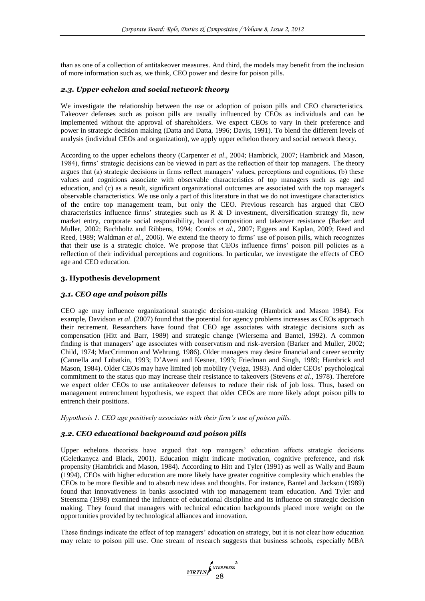than as one of a collection of antitakeover measures. And third, the models may benefit from the inclusion of more information such as, we think, CEO power and desire for poison pills.

## *2.3. Upper echelon and social network theory*

We investigate the relationship between the use or adoption of poison pills and CEO characteristics. Takeover defenses such as poison pills are usually influenced by CEOs as individuals and can be implemented without the approval of shareholders. We expect CEOs to vary in their preference and power in strategic decision making (Datta and Datta, 1996; Davis, 1991). To blend the different levels of analysis (individual CEOs and organization), we apply upper echelon theory and social network theory.

According to the upper echelons theory (Carpenter *et al*., 2004; Hambrick, 2007; Hambrick and Mason, 1984), firms' strategic decisions can be viewed in part as the reflection of their top managers. The theory argues that (a) strategic decisions in firms reflect managers' values, perceptions and cognitions, (b) these values and cognitions associate with observable characteristics of top managers such as age and education, and (c) as a result, significant organizational outcomes are associated with the top manager's observable characteristics. We use only a part of this literature in that we do not investigate characteristics of the entire top management team, but only the CEO. Previous research has argued that CEO characteristics influence firms' strategies such as R & D investment, diversification strategy fit, new market entry, corporate social responsibility, board composition and takeover resistance (Barker and Muller, 2002; Buchholtz and Ribbens, 1994; Combs *et al*., 2007; Eggers and Kaplan, 2009; Reed and Reed, 1989; Waldman *et al*., 2006). We extend the theory to firms' use of poison pills, which recognizes that their use is a strategic choice. We propose that CEOs influence firms' poison pill policies as a reflection of their individual perceptions and cognitions. In particular, we investigate the effects of CEO age and CEO education.

## **3. Hypothesis development**

## *3.1. CEO age and poison pills*

CEO age may influence organizational strategic decision-making (Hambrick and Mason 1984). For example, Davidson *et al*. (2007) found that the potential for agency problems increases as CEOs approach their retirement. Researchers have found that CEO age associates with strategic decisions such as compensation (Hitt and Barr, 1989) and strategic change (Wiersema and Bantel, 1992). A common finding is that managers' age associates with conservatism and risk-aversion (Barker and Muller, 2002; Child, 1974; MacCrimmon and Wehrung, 1986). Older managers may desire financial and career security (Cannella and Lubatkin, 1993; D'Aveni and Kesner, 1993; Friedman and Singh, 1989; Hambrick and Mason, 1984). Older CEOs may have limited job mobility (Veiga, 1983). And older CEOs' psychological commitment to the status quo may increase their resistance to takeovers (Stevens *et al*., 1978). Therefore we expect older CEOs to use antitakeover defenses to reduce their risk of job loss. Thus, based on management entrenchment hypothesis, we expect that older CEOs are more likely adopt poison pills to entrench their positions.

*Hypothesis 1. CEO age positively associates with their firm's use of poison pills.*

# *3.2. CEO educational background and poison pills*

Upper echelons theorists have argued that top managers' education affects strategic decisions (Geletkanycz and Black, 2001). Education might indicate motivation, cognitive preference, and risk propensity (Hambrick and Mason, 1984). According to Hitt and Tyler (1991) as well as Wally and Baum (1994), CEOs with higher education are more likely have greater cognitive complexity which enables the CEOs to be more flexible and to absorb new ideas and thoughts. For instance, Bantel and Jackson (1989) found that innovativeness in banks associated with top management team education. And Tyler and Steensma (1998) examined the influence of educational discipline and its influence on strategic decision making. They found that managers with technical education backgrounds placed more weight on the opportunities provided by technological alliances and innovation.

These findings indicate the effect of top managers' education on strategy, but it is not clear how education may relate to poison pill use. One stream of research suggests that business schools, especially MBA

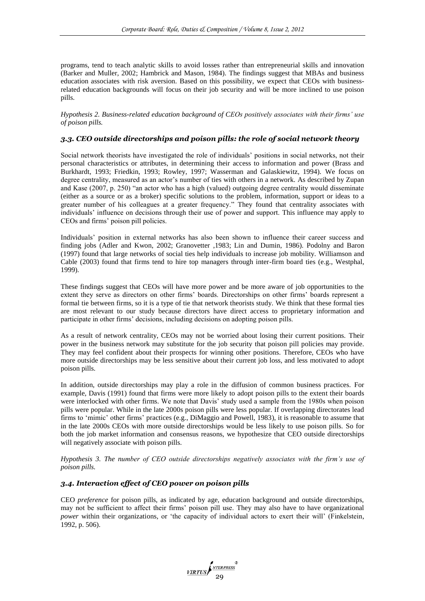programs, tend to teach analytic skills to avoid losses rather than entrepreneurial skills and innovation (Barker and Muller, 2002; Hambrick and Mason, 1984). The findings suggest that MBAs and business education associates with risk aversion. Based on this possibility, we expect that CEOs with businessrelated education backgrounds will focus on their job security and will be more inclined to use poison pills.

*Hypothesis 2. Business-related education background of CEOs positively associates with their firms' use of poison pills.*

# *3.3. CEO outside directorships and poison pills: the role of social network theory*

Social network theorists have investigated the role of individuals' positions in social networks, not their personal characteristics or attributes, in determining their access to information and power (Brass and Burkhardt, 1993; Friedkin, 1993; Rowley, 1997; Wasserman and Galaskiewitz, 1994). We focus on degree centrality, measured as an actor's number of ties with others in a network. As described by Zupan and Kase (2007, p. 250) "an actor who has a high (valued) outgoing degree centrality would disseminate (either as a source or as a broker) specific solutions to the problem, information, support or ideas to a greater number of his colleagues at a greater frequency." They found that centrality associates with individuals' influence on decisions through their use of power and support. This influence may apply to CEOs and firms' poison pill policies.

Individuals' position in external networks has also been shown to influence their career success and finding jobs (Adler and Kwon, 2002; Granovetter ,1983; Lin and Dumin, 1986). Podolny and Baron (1997) found that large networks of social ties help individuals to increase job mobility. Williamson and Cable (2003) found that firms tend to hire top managers through inter-firm board ties (e.g., Westphal, 1999).

These findings suggest that CEOs will have more power and be more aware of job opportunities to the extent they serve as directors on other firms' boards. Directorships on other firms' boards represent a formal tie between firms, so it is a type of tie that network theorists study. We think that these formal ties are most relevant to our study because directors have direct access to proprietary information and participate in other firms' decisions, including decisions on adopting poison pills.

As a result of network centrality, CEOs may not be worried about losing their current positions. Their power in the business network may substitute for the job security that poison pill policies may provide. They may feel confident about their prospects for winning other positions. Therefore, CEOs who have more outside directorships may be less sensitive about their current job loss, and less motivated to adopt poison pills.

In addition, outside directorships may play a role in the diffusion of common business practices. For example, Davis (1991) found that firms were more likely to adopt poison pills to the extent their boards were interlocked with other firms. We note that Davis' study used a sample from the 1980s when poison pills were popular. While in the late 2000s poison pills were less popular. If overlapping directorates lead firms to 'mimic' other firms' practices (e.g., DiMaggio and Powell, 1983), it is reasonable to assume that in the late 2000s CEOs with more outside directorships would be less likely to use poison pills. So for both the job market information and consensus reasons, we hypothesize that CEO outside directorships will negatively associate with poison pills.

*Hypothesis 3. The number of CEO outside directorships negatively associates with the firm's use of poison pills.*

## *3.4. Interaction effect of CEO power on poison pills*

CEO *preference* for poison pills, as indicated by age, education background and outside directorships, may not be sufficient to affect their firms' poison pill use. They may also have to have organizational *power* within their organizations*,* or 'the capacity of individual actors to exert their will' (Finkelstein, 1992, p. 506).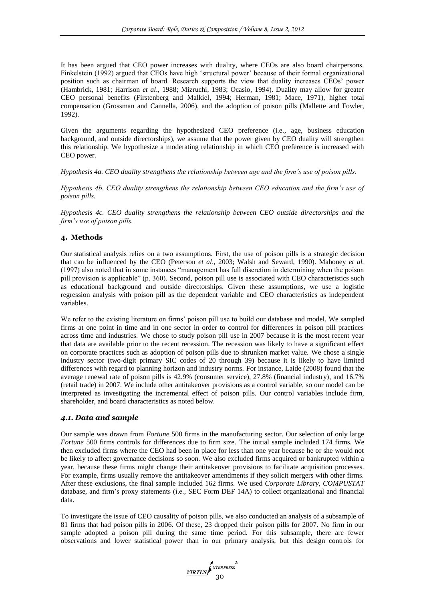It has been argued that CEO power increases with duality, where CEOs are also board chairpersons. Finkelstein (1992) argued that CEOs have high 'structural power' because of their formal organizational position such as chairman of board. Research supports the view that duality increases CEOs' power (Hambrick, 1981; Harrison *et al*., 1988; Mizruchi, 1983; Ocasio, 1994). Duality may allow for greater CEO personal benefits (Firstenberg and Malkiel, 1994; Herman, 1981; Mace, 1971), higher total compensation (Grossman and Cannella, 2006), and the adoption of poison pills (Mallette and Fowler, 1992).

Given the arguments regarding the hypothesized CEO preference (i.e., age, business education background, and outside directorships), we assume that the power given by CEO duality will strengthen this relationship. We hypothesize a moderating relationship in which CEO preference is increased with CEO power.

*Hypothesis 4a. CEO duality strengthens the relationship between age and the firm's use of poison pills.*

*Hypothesis 4b. CEO duality strengthens the relationship between CEO education and the firm's use of poison pills.*

*Hypothesis 4c. CEO duality strengthens the relationship between CEO outside directorships and the firm's use of poison pills.*

## **4. Methods**

Our statistical analysis relies on a two assumptions. First, the use of poison pills is a strategic decision that can be influenced by the CEO (Peterson *et al*., 2003; Walsh and Seward, 1990). Mahoney *et al.* (1997) also noted that in some instances "management has full discretion in determining when the poison pill provision is applicable" (p. 360). Second, poison pill use is associated with CEO characteristics such as educational background and outside directorships. Given these assumptions, we use a logistic regression analysis with poison pill as the dependent variable and CEO characteristics as independent variables.

We refer to the existing literature on firms' poison pill use to build our database and model. We sampled firms at one point in time and in one sector in order to control for differences in poison pill practices across time and industries. We chose to study poison pill use in 2007 because it is the most recent year that data are available prior to the recent recession. The recession was likely to have a significant effect on corporate practices such as adoption of poison pills due to shrunken market value. We chose a single industry sector (two-digit primary SIC codes of 20 through 39) because it is likely to have limited differences with regard to planning horizon and industry norms. For instance, Laide (2008) found that the average renewal rate of poison pills is 42.9% (consumer service), 27.8% (financial industry), and 16.7% (retail trade) in 2007. We include other antitakeover provisions as a control variable, so our model can be interpreted as investigating the incremental effect of poison pills. Our control variables include firm, shareholder, and board characteristics as noted below.

#### *4.1. Data and sample*

Our sample was drawn from *Fortune* 500 firms in the manufacturing sector. Our selection of only large *Fortune* 500 firms controls for differences due to firm size. The initial sample included 174 firms. We then excluded firms where the CEO had been in place for less than one year because he or she would not be likely to affect governance decisions so soon. We also excluded firms acquired or bankrupted within a year, because these firms might change their antitakeover provisions to facilitate acquisition processes. For example, firms usually remove the antitakeover amendments if they solicit mergers with other firms. After these exclusions, the final sample included 162 firms. We used *Corporate Library, COMPUSTAT* database, and firm's proxy statements (i.e., SEC Form DEF 14A) to collect organizational and financial data.

To investigate the issue of CEO causality of poison pills, we also conducted an analysis of a subsample of 81 firms that had poison pills in 2006. Of these, 23 dropped their poison pills for 2007. No firm in our sample adopted a poison pill during the same time period. For this subsample, there are fewer observations and lower statistical power than in our primary analysis, but this design controls for

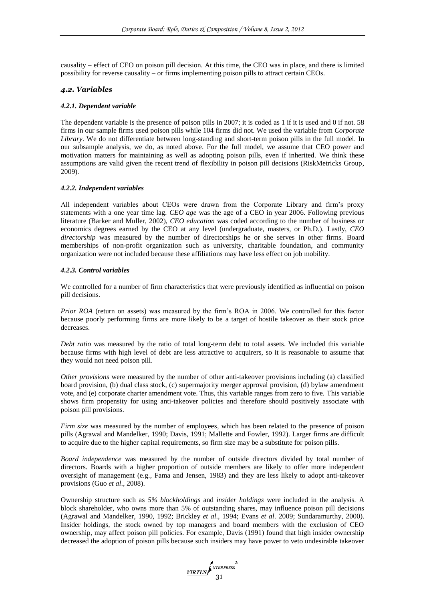causality – effect of CEO on poison pill decision. At this time, the CEO was in place, and there is limited possibility for reverse causality – or firms implementing poison pills to attract certain CEOs.

## *4.2. Variables*

#### *4.2.1. Dependent variable*

The dependent variable is the presence of poison pills in 2007; it is coded as 1 if it is used and 0 if not. 58 firms in our sample firms used poison pills while 104 firms did not. We used the variable from *Corporate Library*. We do not differentiate between long-standing and short-term poison pills in the full model. In our subsample analysis, we do, as noted above. For the full model, we assume that CEO power and motivation matters for maintaining as well as adopting poison pills, even if inherited. We think these assumptions are valid given the recent trend of flexibility in poison pill decisions (RiskMetricks Group, 2009).

#### *4.2.2. Independent variables*

All independent variables about CEOs were drawn from the Corporate Library and firm's proxy statements with a one year time lag. *CEO age* was the age of a CEO in year 2006. Following previous literature (Barker and Muller, 2002), *CEO education* was coded according to the number of business or economics degrees earned by the CEO at any level (undergraduate, masters, or Ph.D.). Lastly, *CEO directorship* was measured by the number of directorships he or she serves in other firms. Board memberships of non-profit organization such as university, charitable foundation, and community organization were not included because these affiliations may have less effect on job mobility.

## *4.2.3. Control variables*

We controlled for a number of firm characteristics that were previously identified as influential on poison pill decisions.

*Prior ROA* (return on assets) was measured by the firm's ROA in 2006. We controlled for this factor because poorly performing firms are more likely to be a target of hostile takeover as their stock price decreases.

*Debt ratio* was measured by the ratio of total long-term debt to total assets. We included this variable because firms with high level of debt are less attractive to acquirers, so it is reasonable to assume that they would not need poison pill.

*Other provisions* were measured by the number of other anti-takeover provisions including (a) classified board provision, (b) dual class stock, (c) supermajority merger approval provision, (d) bylaw amendment vote, and (e) corporate charter amendment vote. Thus, this variable ranges from zero to five. This variable shows firm propensity for using anti-takeover policies and therefore should positively associate with poison pill provisions.

*Firm size* was measured by the number of employees, which has been related to the presence of poison pills (Agrawal and Mandelker, 1990; Davis, 1991; Mallette and Fowler, 1992). Larger firms are difficult to acquire due to the higher capital requirements, so firm size may be a substitute for poison pills.

*Board independence* was measured by the number of outside directors divided by total number of directors. Boards with a higher proportion of outside members are likely to offer more independent oversight of management (e.g., Fama and Jensen, 1983) and they are less likely to adopt anti-takeover provisions (Guo *et al*., 2008).

Ownership structure such as *5% blockholdings* and *insider holdings* were included in the analysis. A block shareholder, who owns more than 5% of outstanding shares, may influence poison pill decisions (Agrawal and Mandelker, 1990, 1992; Brickley *et al*., 1994; Evans *et al*. 2009; Sundaramurthy, 2000). Insider holdings, the stock owned by top managers and board members with the exclusion of CEO ownership, may affect poison pill policies. For example, Davis (1991) found that high insider ownership decreased the adoption of poison pills because such insiders may have power to veto undesirable takeover

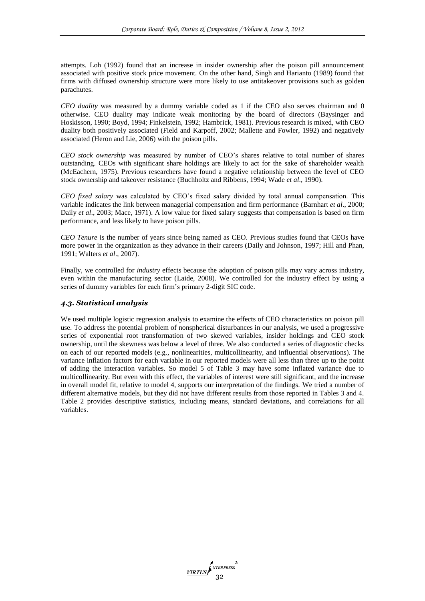attempts. Loh (1992) found that an increase in insider ownership after the poison pill announcement associated with positive stock price movement. On the other hand, Singh and Harianto (1989) found that firms with diffused ownership structure were more likely to use antitakeover provisions such as golden parachutes.

*CEO duality* was measured by a dummy variable coded as 1 if the CEO also serves chairman and 0 otherwise. CEO duality may indicate weak monitoring by the board of directors (Baysinger and Hoskisson, 1990; Boyd, 1994; Finkelstein, 1992; Hambrick, 1981). Previous research is mixed, with CEO duality both positively associated (Field and Karpoff, 2002; Mallette and Fowler, 1992) and negatively associated (Heron and Lie, 2006) with the poison pills.

*CEO stock ownership* was measured by number of CEO's shares relative to total number of shares outstanding. CEOs with significant share holdings are likely to act for the sake of shareholder wealth (McEachern, 1975). Previous researchers have found a negative relationship between the level of CEO stock ownership and takeover resistance (Buchholtz and Ribbens, 1994; Wade *et al*., 1990).

*CEO fixed salary* was calculated by CEO's fixed salary divided by total annual compensation. This variable indicates the link between managerial compensation and firm performance (Barnhart *et al*., 2000; Daily *et al*., 2003; Mace, 1971). A low value for fixed salary suggests that compensation is based on firm performance, and less likely to have poison pills.

*CEO Tenure* is the number of years since being named as CEO. Previous studies found that CEOs have more power in the organization as they advance in their careers (Daily and Johnson, 1997; Hill and Phan, 1991; Walters *et al*., 2007).

Finally, we controlled for *industry* effects because the adoption of poison pills may vary across industry, even within the manufacturing sector (Laide, 2008). We controlled for the industry effect by using a series of dummy variables for each firm's primary 2-digit SIC code.

## *4.3. Statistical analysis*

We used multiple logistic regression analysis to examine the effects of CEO characteristics on poison pill use. To address the potential problem of nonspherical disturbances in our analysis, we used a progressive series of exponential root transformation of two skewed variables, insider holdings and CEO stock ownership, until the skewness was below a level of three. We also conducted a series of diagnostic checks on each of our reported models (e.g., nonlinearities, multicollinearity, and influential observations). The variance inflation factors for each variable in our reported models were all less than three up to the point of adding the interaction variables. So model 5 of Table 3 may have some inflated variance due to multicollinearity. But even with this effect, the variables of interest were still significant, and the increase in overall model fit, relative to model 4, supports our interpretation of the findings. We tried a number of different alternative models, but they did not have different results from those reported in Tables 3 and 4. Table 2 provides descriptive statistics, including means, standard deviations, and correlations for all variables.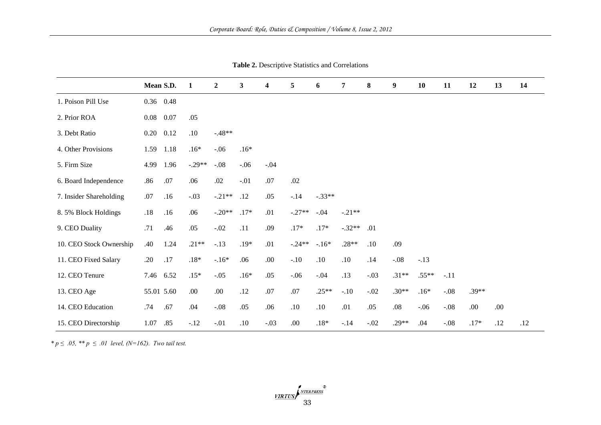|                         |      | Mean S.D.  | $\mathbf{1}$ | $\boldsymbol{2}$ | $\mathbf{3}$ | 4      | 5        | 6        | $\overline{7}$ | 8      | $\boldsymbol{9}$ | 10      | 11     | 12      | 13   | 14  |
|-------------------------|------|------------|--------------|------------------|--------------|--------|----------|----------|----------------|--------|------------------|---------|--------|---------|------|-----|
| 1. Poison Pill Use      |      | 0.36 0.48  |              |                  |              |        |          |          |                |        |                  |         |        |         |      |     |
| 2. Prior ROA            | 0.08 | 0.07       | .05          |                  |              |        |          |          |                |        |                  |         |        |         |      |     |
| 3. Debt Ratio           | 0.20 | 0.12       | .10          | $-.48**$         |              |        |          |          |                |        |                  |         |        |         |      |     |
| 4. Other Provisions     | 1.59 | 1.18       | $.16*$       | $-.06$           | $.16*$       |        |          |          |                |        |                  |         |        |         |      |     |
| 5. Firm Size            | 4.99 | 1.96       | $-.29**$     | $-.08$           | $-.06$       | $-.04$ |          |          |                |        |                  |         |        |         |      |     |
| 6. Board Independence   | .86  | .07        | .06          | .02              | $-.01$       | .07    | .02      |          |                |        |                  |         |        |         |      |     |
| 7. Insider Shareholding | .07  | .16        | $-.03$       | $-.21**$         | .12          | .05    | $-.14$   | $-.33**$ |                |        |                  |         |        |         |      |     |
| 8.5% Block Holdings     | .18  | .16        | .06          | $-.20**$         | $.17*$       | .01    | $-.27**$ | $-.04$   | $-.21**$       |        |                  |         |        |         |      |     |
| 9. CEO Duality          | .71  | .46        | .05          | $-.02$           | .11          | .09    | $.17*$   | $.17*$   | $-.32**$       | .01    |                  |         |        |         |      |     |
| 10. CEO Stock Ownership | .40  | 1.24       | $.21**$      | $-.13$           | $.19*$       | .01    | $-.24**$ | $-.16*$  | $.28**$        | .10    | .09              |         |        |         |      |     |
| 11. CEO Fixed Salary    | .20  | .17        | $.18*$       | $-.16*$          | .06          | .00.   | $-.10$   | .10      | .10            | .14    | $-.08$           | $-.13$  |        |         |      |     |
| 12. CEO Tenure          |      | 7.46 6.52  | $.15*$       | $-.05$           | $.16*$       | .05    | $-.06$   | $-.04$   | .13            | $-.03$ | $.31**$          | $.55**$ | $-.11$ |         |      |     |
| 13. CEO Age             |      | 55.01 5.60 | .00          | .00.             | .12          | $.07$  | $.07$    | $.25**$  | $-.10$         | $-.02$ | $.30**$          | $.16*$  | $-.08$ | $.39**$ |      |     |
| 14. CEO Education       | .74  | .67        | .04          | $-.08$           | .05          | .06    | .10      | .10      | .01            | .05    | $.08\,$          | $-.06$  | $-.08$ | .00.    | .00. |     |
| 15. CEO Directorship    | 1.07 | .85        | $-12$        | $-.01$           | .10          | $-.03$ | .00.     | $.18*$   | $-.14$         | $-.02$ | $.29**$          | .04     | $-.08$ | $.17*$  | .12  | .12 |

**Table 2.** Descriptive Statistics and Correlations

*\* p*  $\leq .05$ , \*\* *p*  $\leq .01$  level, (N=162). Two tail test.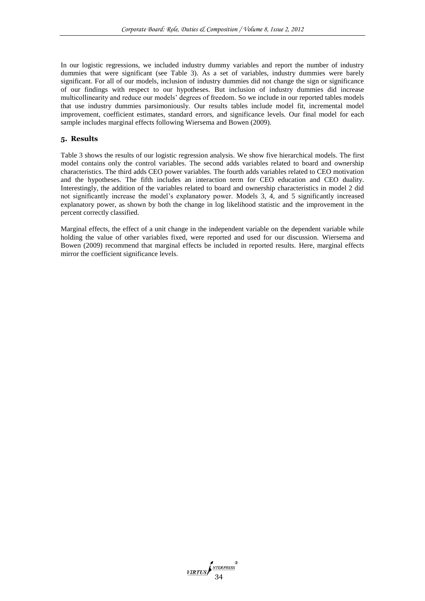In our logistic regressions, we included industry dummy variables and report the number of industry dummies that were significant (see Table 3). As a set of variables, industry dummies were barely significant. For all of our models, inclusion of industry dummies did not change the sign or significance of our findings with respect to our hypotheses. But inclusion of industry dummies did increase multicollinearity and reduce our models' degrees of freedom. So we include in our reported tables models that use industry dummies parsimoniously. Our results tables include model fit, incremental model improvement, coefficient estimates, standard errors, and significance levels. Our final model for each sample includes marginal effects following Wiersema and Bowen (2009).

#### **5. Results**

Table 3 shows the results of our logistic regression analysis. We show five hierarchical models. The first model contains only the control variables. The second adds variables related to board and ownership characteristics. The third adds CEO power variables. The fourth adds variables related to CEO motivation and the hypotheses. The fifth includes an interaction term for CEO education and CEO duality. Interestingly, the addition of the variables related to board and ownership characteristics in model 2 did not significantly increase the model's explanatory power. Models 3, 4, and 5 significantly increased explanatory power, as shown by both the change in log likelihood statistic and the improvement in the percent correctly classified.

Marginal effects, the effect of a unit change in the independent variable on the dependent variable while holding the value of other variables fixed, were reported and used for our discussion. Wiersema and Bowen (2009) recommend that marginal effects be included in reported results. Here, marginal effects mirror the coefficient significance levels.

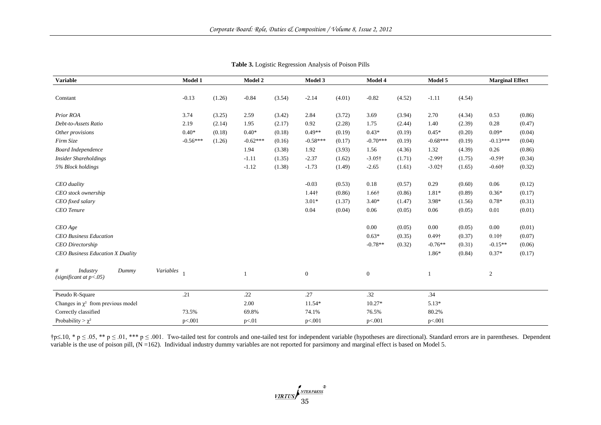| <b>Variable</b>                                       | Model 1   |            | Model 2 |            | Model 3 |                  | Model 4 |                | Model 5 |               | <b>Marginal Effect</b> |                   |        |
|-------------------------------------------------------|-----------|------------|---------|------------|---------|------------------|---------|----------------|---------|---------------|------------------------|-------------------|--------|
| Constant                                              |           | $-0.13$    | (1.26)  | $-0.84$    | (3.54)  | $-2.14$          | (4.01)  | $-0.82$        | (4.52)  | $-1.11$       | (4.54)                 |                   |        |
|                                                       |           |            |         |            |         |                  |         |                |         |               |                        |                   |        |
| Prior ROA                                             |           | 3.74       | (3.25)  | 2.59       | (3.42)  | 2.84             | (3.72)  | 3.69           | (3.94)  | 2.70          | (4.34)                 | 0.53              | (0.86) |
| Debt-to-Assets Ratio                                  |           | 2.19       | (2.14)  | 1.95       | (2.17)  | 0.92             | (2.28)  | 1.75           | (2.44)  | 1.40          | (2.39)                 | 0.28              | (0.47) |
| Other provisions                                      |           | $0.40*$    | (0.18)  | $0.40*$    | (0.18)  | $0.49**$         | (0.19)  | $0.43*$        | (0.19)  | $0.45*$       | (0.20)                 | $0.09*$           | (0.04) |
| Firm Size                                             |           | $-0.56***$ | (1.26)  | $-0.62***$ | (0.16)  | $-0.58***$       | (0.17)  | $-0.70***$     | (0.19)  | $-0.68***$    | (0.19)                 | $-0.13***$        | (0.04) |
| <b>Board Independence</b>                             |           |            |         | 1.94       | (3.38)  | 1.92             | (3.93)  | 1.56           | (4.36)  | 1.32          | (4.39)                 | 0.26              | (0.86) |
| <b>Insider Shareholdings</b>                          |           |            |         | $-1.11$    | (1.35)  | $-2.37$          | (1.62)  | $-3.05\dagger$ | (1.71)  | $-2.99$ †     | (1.75)                 | $-0.59\dagger$    | (0.34) |
| 5% Block holdings                                     |           |            |         | $-1.12$    | (1.38)  | $-1.73$          | (1.49)  | $-2.65$        | (1.61)  | $-3.02$ †     | (1.65)                 | $-0.60\dagger$    | (0.32) |
| CEO duality                                           |           |            |         |            |         | $-0.03$          | (0.53)  | 0.18           | (0.57)  | 0.29          | (0.60)                 | 0.06              | (0.12) |
| CEO stock ownership                                   |           |            |         |            |         | $1.44\dagger$    | (0.86)  | 1.66†          | (0.86)  | $1.81*$       | (0.89)                 | $0.36*$           | (0.17) |
| CEO fixed salary                                      |           |            |         |            |         | $3.01*$          | (1.37)  | $3.40*$        | (1.47)  | 3.98*         | (1.56)                 | $0.78*$           | (0.31) |
| <b>CEO</b> Tenure                                     |           |            |         |            |         | 0.04             | (0.04)  | 0.06           | (0.05)  | 0.06          | (0.05)                 | 0.01              | (0.01) |
| $CEO$ Age                                             |           |            |         |            |         |                  |         | 0.00           | (0.05)  | 0.00          | (0.05)                 | 0.00              | (0.01) |
| <b>CEO</b> Business Education                         |           |            |         |            |         |                  |         | $0.63*$        | (0.35)  | $0.49\dagger$ | (0.37)                 | 0.10 <sup>†</sup> | (0.07) |
| <b>CEO</b> Directorship                               |           |            |         |            |         |                  |         | $-0.78**$      | (0.32)  | $-0.76**$     | (0.31)                 | $-0.15**$         | (0.06) |
| CEO Business Education X Duality                      |           |            |         |            |         |                  |         |                |         | 1.86*         | (0.84)                 | $0.37*$           | (0.17) |
| #<br>Industry<br>Dummy<br>(significant at $p < .05$ ) | Variables |            |         |            |         | $\boldsymbol{0}$ |         | $\mathbf{0}$   |         | -1            |                        | 2                 |        |
| Pseudo R-Square                                       |           | .21        |         | .22        |         | .27              |         | .32            |         | .34           |                        |                   |        |
| Changes in $\chi^2$ from previous model               |           |            |         | 2.00       |         | $11.54*$         |         | $10.27*$       |         | $5.13*$       |                        |                   |        |
| Correctly classified                                  |           | 73.5%      |         | 69.8%      |         | 74.1%            |         | 76.5%          |         | 80.2%         |                        |                   |        |
| Probability > $\gamma^2$                              |           | p<.001     |         | p<.01      |         | p<.001           |         | p<.001         |         | p<.001        |                        |                   |        |

| Table 3. Logistic Regression Analysis of Poison Pills |  |  |  |  |
|-------------------------------------------------------|--|--|--|--|
|-------------------------------------------------------|--|--|--|--|

 $\uparrow$ p $\leq$ .05, \*\* p  $\leq$ .01, \*\*\* p  $\leq$ .001. Two-tailed test for controls and one-tailed test for independent variable (hypotheses are directional). Standard errors are in parentheses. Dependent variable is the use of poison pill, (N =162). Individual industry dummy variables are not reported for parsimony and marginal effect is based on Model 5.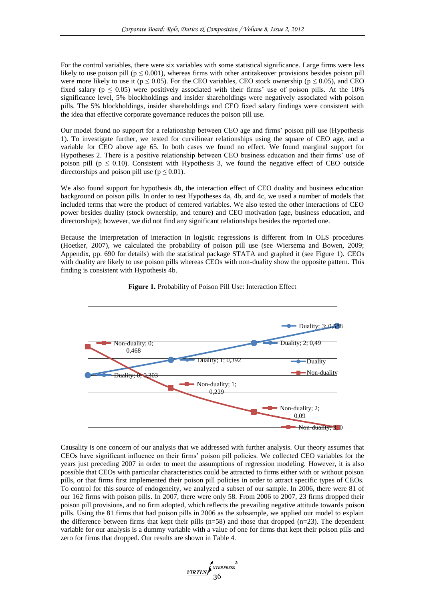For the control variables, there were six variables with some statistical significance. Large firms were less likely to use poison pill ( $p \le 0.001$ ), whereas firms with other antitakeover provisions besides poison pill were more likely to use it ( $p \le 0.05$ ). For the CEO variables, CEO stock ownership ( $p \le 0.05$ ), and CEO fixed salary ( $p \le 0.05$ ) were positively associated with their firms' use of poison pills. At the 10% significance level, 5% blockholdings and insider shareholdings were negatively associated with poison pills. The 5% blockholdings, insider shareholdings and CEO fixed salary findings were consistent with the idea that effective corporate governance reduces the poison pill use.

Our model found no support for a relationship between CEO age and firms' poison pill use (Hypothesis 1). To investigate further, we tested for curvilinear relationships using the square of CEO age, and a variable for CEO above age 65. In both cases we found no effect. We found marginal support for Hypotheses 2. There is a positive relationship between CEO business education and their firms' use of poison pill ( $p \le 0.10$ ). Consistent with Hypothesis 3, we found the negative effect of CEO outside directorships and poison pill use ( $p \le 0.01$ ).

We also found support for hypothesis 4b, the interaction effect of CEO duality and business education background on poison pills. In order to test Hypotheses 4a, 4b, and 4c, we used a number of models that included terms that were the product of centered variables. We also tested the other interactions of CEO power besides duality (stock ownership, and tenure) and CEO motivation (age, business education, and directorships); however, we did not find any significant relationships besides the reported one.

Because the interpretation of interaction in logistic regressions is different from in OLS procedures (Hoetker, 2007), we calculated the probability of poison pill use (see Wiersema and Bowen, 2009; Appendix, pp. 690 for details) with the statistical package STATA and graphed it (see Figure 1). CEOs with duality are likely to use poison pills whereas CEOs with non-duality show the opposite pattern. This finding is consistent with Hypothesis 4b.



**Figure 1.** Probability of Poison Pill Use: Interaction Effect

Causality is one concern of our analysis that we addressed with further analysis. Our theory assumes that CEOs have significant influence on their firms' poison pill policies. We collected CEO variables for the years just preceding 2007 in order to meet the assumptions of regression modeling. However, it is also possible that CEOs with particular characteristics could be attracted to firms either with or without poison pills, or that firms first implemented their poison pill policies in order to attract specific types of CEOs. To control for this source of endogeneity, we analyzed a subset of our sample. In 2006, there were 81 of our 162 firms with poison pills. In 2007, there were only 58. From 2006 to 2007, 23 firms dropped their poison pill provisions, and no firm adopted, which reflects the prevailing negative attitude towards poison pills. Using the 81 firms that had poison pills in 2006 as the subsample, we applied our model to explain the difference between firms that kept their pills  $(n=58)$  and those that dropped  $(n=23)$ . The dependent variable for our analysis is a dummy variable with a value of one for firms that kept their poison pills and zero for firms that dropped. Our results are shown in Table 4.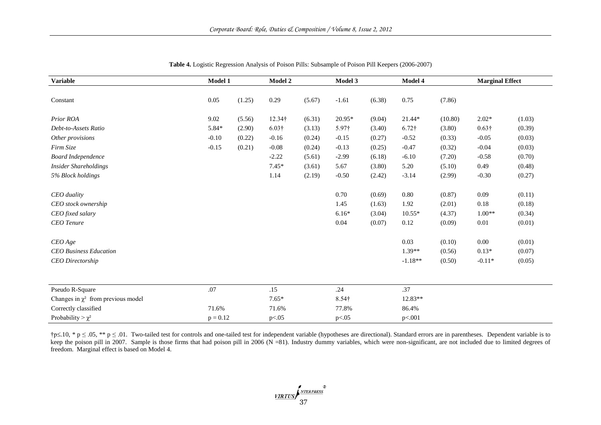| <b>Variable</b>                         | Model 1    |        | <b>Model 2</b> |        | Model 3       |        | Model 4       |         | <b>Marginal Effect</b> |        |  |
|-----------------------------------------|------------|--------|----------------|--------|---------------|--------|---------------|---------|------------------------|--------|--|
| Constant                                | 0.05       | (1.25) | 0.29           | (5.67) | $-1.61$       | (6.38) | 0.75          | (7.86)  |                        |        |  |
| Prior ROA                               | 9.02       | (5.56) | 12.34†         | (6.31) | 20.95*        | (9.04) | 21.44*        | (10.80) | $2.02*$                | (1.03) |  |
| Debt-to-Assets Ratio                    | 5.84*      | (2.90) | $6.03\dagger$  | (3.13) | $5.97\dagger$ | (3.40) | $6.72\dagger$ | (3.80)  | $0.63\dagger$          | (0.39) |  |
| Other provisions                        | $-0.10$    | (0.22) | $-0.16$        | (0.24) | $-0.15$       | (0.27) | $-0.52$       | (0.33)  | $-0.05$                | (0.03) |  |
| Firm Size                               | $-0.15$    | (0.21) | $-0.08$        | (0.24) | $-0.13$       | (0.25) | $-0.47$       | (0.32)  | $-0.04$                | (0.03) |  |
| <b>Board Independence</b>               |            |        | $-2.22$        | (5.61) | $-2.99$       | (6.18) | $-6.10$       | (7.20)  | $-0.58$                | (0.70) |  |
| <b>Insider Shareholdings</b>            |            |        | $7.45*$        | (3.61) | 5.67          | (3.80) | 5.20          | (5.10)  | 0.49                   | (0.48) |  |
| 5% Block holdings                       |            |        | 1.14           | (2.19) | $-0.50$       | (2.42) | $-3.14$       | (2.99)  | $-0.30$                | (0.27) |  |
| CEO duality                             |            |        |                |        | 0.70          | (0.69) | 0.80          | (0.87)  | 0.09                   | (0.11) |  |
| CEO stock ownership                     |            |        |                |        | 1.45          | (1.63) | 1.92          | (2.01)  | 0.18                   | (0.18) |  |
| CEO fixed salary                        |            |        |                |        | $6.16*$       | (3.04) | $10.55*$      | (4.37)  | $1.00**$               | (0.34) |  |
| <b>CEO</b> Tenure                       |            |        |                |        | $0.04\,$      | (0.07) | 0.12          | (0.09)  | 0.01                   | (0.01) |  |
| $CEO$ Age                               |            |        |                |        |               |        | 0.03          | (0.10)  | 0.00                   | (0.01) |  |
| <b>CEO</b> Business Education           |            |        |                |        |               |        | $1.39**$      | (0.56)  | $0.13*$                | (0.07) |  |
| <b>CEO</b> Directorship                 |            |        |                |        |               |        | $-1.18**$     | (0.50)  | $-0.11*$               | (0.05) |  |
| Pseudo R-Square                         | .07        |        | .15            |        | .24           |        | .37           |         |                        |        |  |
| Changes in $\chi^2$ from previous model |            |        | $7.65*$        |        | $8.54\dagger$ |        | 12.83**       |         |                        |        |  |
| Correctly classified                    | 71.6%      |        | 71.6%          |        | 77.8%         |        | 86.4%         |         |                        |        |  |
| Probability > $\chi^2$                  | $p = 0.12$ |        | p<.05          |        | p<.05         |        | p<.001        |         |                        |        |  |

**Table 4.** Logistic Regression Analysis of Poison Pills: Subsample of Poison Pill Keepers (2006-2007)

†p≤.10, \* p ≤ .05, \*\* p ≤ .01. Two-tailed test for controls and one-tailed test for independent variable (hypotheses are directional). Standard errors are in parentheses. Dependent variable is to keep the poison pill in 2007. Sample is those firms that had poison pill in 2006 (N =81). Industry dummy variables, which were non-significant, are not included due to limited degrees of freedom. Marginal effect is based on Model 4.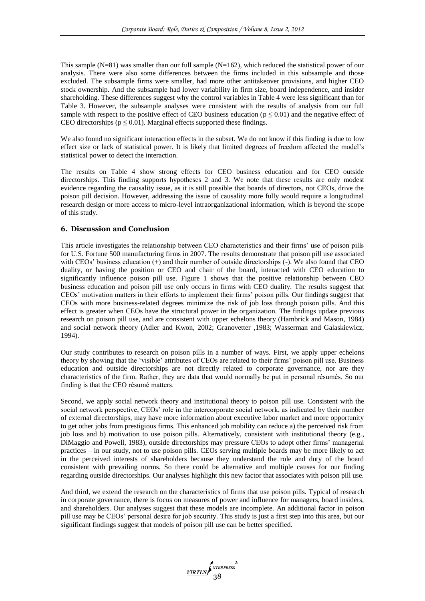This sample  $(N=81)$  was smaller than our full sample  $(N=162)$ , which reduced the statistical power of our analysis. There were also some differences between the firms included in this subsample and those excluded. The subsample firms were smaller, had more other antitakeover provisions, and higher CEO stock ownership. And the subsample had lower variability in firm size, board independence, and insider shareholding. These differences suggest why the control variables in Table 4 were less significant than for Table 3. However, the subsample analyses were consistent with the results of analysis from our full sample with respect to the positive effect of CEO business education ( $p \le 0.01$ ) and the negative effect of CEO directorships ( $p \le 0.01$ ). Marginal effects supported these findings.

We also found no significant interaction effects in the subset. We do not know if this finding is due to low effect size or lack of statistical power. It is likely that limited degrees of freedom affected the model's statistical power to detect the interaction.

The results on Table 4 show strong effects for CEO business education and for CEO outside directorships. This finding supports hypotheses 2 and 3. We note that these results are only modest evidence regarding the causality issue, as it is still possible that boards of directors, not CEOs, drive the poison pill decision. However, addressing the issue of causality more fully would require a longitudinal research design or more access to micro-level intraorganizational information, which is beyond the scope of this study.

## **6. Discussion and Conclusion**

This article investigates the relationship between CEO characteristics and their firms' use of poison pills for U.S. Fortune 500 manufacturing firms in 2007. The results demonstrate that poison pill use associated with CEOs' business education (+) and their number of outside directorships (-). We also found that CEO duality, or having the position or CEO and chair of the board, interacted with CEO education to significantly influence poison pill use. Figure 1 shows that the positive relationship between CEO business education and poison pill use only occurs in firms with CEO duality. The results suggest that CEOs' motivation matters in their efforts to implement their firms' poison pills. Our findings suggest that CEOs with more business-related degrees minimize the risk of job loss through poison pills. And this effect is greater when CEOs have the structural power in the organization. The findings update previous research on poison pill use, and are consistent with upper echelons theory (Hambrick and Mason, 1984) and social network theory (Adler and Kwon, 2002; Granovetter ,1983; Wasserman and Galaskiewicz, 1994).

Our study contributes to research on poison pills in a number of ways. First, we apply upper echelons theory by showing that the 'visible' attributes of CEOs are related to their firms' poison pill use. Business education and outside directorships are not directly related to corporate governance, nor are they characteristics of the firm. Rather, they are data that would normally be put in personal résumés. So our finding is that the CEO résumé matters.

Second, we apply social network theory and institutional theory to poison pill use. Consistent with the social network perspective, CEOs' role in the intercorporate social network, as indicated by their number of external directorships, may have more information about executive labor market and more opportunity to get other jobs from prestigious firms. This enhanced job mobility can reduce a) the perceived risk from job loss and b) motivation to use poison pills. Alternatively, consistent with institutional theory (e.g., DiMaggio and Powell, 1983), outside directorships may pressure CEOs to adopt other firms' managerial practices – in our study, not to use poison pills. CEOs serving multiple boards may be more likely to act in the perceived interests of shareholders because they understand the role and duty of the board consistent with prevailing norms. So there could be alternative and multiple causes for our finding regarding outside directorships. Our analyses highlight this new factor that associates with poison pill use.

And third, we extend the research on the characteristics of firms that use poison pills. Typical of research in corporate governance, there is focus on measures of power and influence for managers, board insiders, and shareholders. Our analyses suggest that these models are incomplete. An additional factor in poison pill use may be CEOs' personal desire for job security. This study is just a first step into this area, but our significant findings suggest that models of poison pill use can be better specified.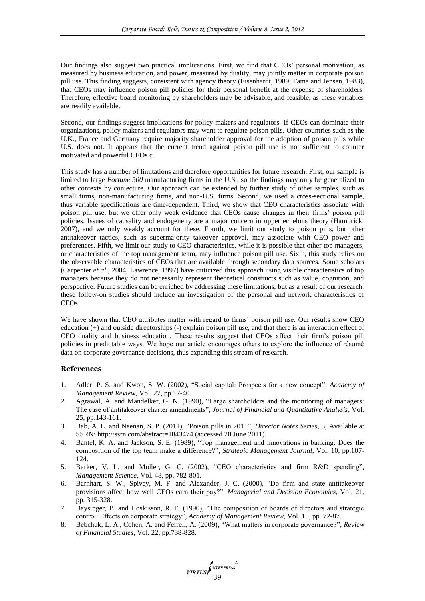Our findings also suggest two practical implications. First, we find that CEOs' personal motivation, as measured by business education, and power, measured by duality, may jointly matter in corporate poison pill use. This finding suggests, consistent with agency theory (Eisenhardt, 1989; Fama and Jensen, 1983), that CEOs may influence poison pill policies for their personal benefit at the expense of shareholders. Therefore, effective board monitoring by shareholders may be advisable, and feasible, as these variables are readily available.

Second, our findings suggest implications for policy makers and regulators. If CEOs can dominate their organizations, policy makers and regulators may want to regulate poison pills. Other countries such as the U.K., France and Germany require majority shareholder approval for the adoption of poison pills while U.S. does not. It appears that the current trend against poison pill use is not sufficient to counter motivated and powerful CEOs c.

This study has a number of limitations and therefore opportunities for future research. First, our sample is limited to large *Fortune 500* manufacturing firms in the U.S., so the findings may only be generalized to other contexts by conjecture. Our approach can be extended by further study of other samples, such as small firms, non-manufacturing firms, and non-U.S. firms. Second, we used a cross-sectional sample, thus variable specifications are time-dependent. Third, we show that CEO characteristics associate with poison pill use, but we offer only weak evidence that CEOs cause changes in their firms' poison pill policies. Issues of causality and endogeneity are a major concern in upper echelons theory (Hambrick, 2007), and we only weakly account for these. Fourth, we limit our study to poison pills, but other antitakeover tactics, such as supermajority takeover approval, may associate with CEO power and preferences. Fifth, we limit our study to CEO characteristics, while it is possible that other top managers, or characteristics of the top management team, may influence poison pill use. Sixth, this study relies on the observable characteristics of CEOs that are available through secondary data sources. Some scholars (Carpenter *et al*., 2004; Lawrence, 1997) have criticized this approach using visible characteristics of top managers because they do not necessarily represent theoretical constructs such as value, cognition, and perspective. Future studies can be enriched by addressing these limitations, but as a result of our research, these follow-on studies should include an investigation of the personal and network characteristics of CEOs.

We have shown that CEO attributes matter with regard to firms' poison pill use. Our results show CEO education (+) and outside directorships (-) explain poison pill use, and that there is an interaction effect of CEO duality and business education. These results suggest that CEOs affect their firm's poison pill policies in predictable ways. We hope our article encourages others to explore the influence of résumé data on corporate governance decisions, thus expanding this stream of research.

# **References**

- 1. Adler, P. S. and Kwon, S. W. (2002), "Social capital: Prospects for a new concept", *Academy of Management Review*, Vol. 27, pp.17-40.
- 2. Agrawal, A. and Mandelker, G. N. (1990), "Large shareholders and the monitoring of managers: The case of antitakeover charter amendments", *Journal of Financial and Quantitative Analysis*, Vol. 25, pp.143-161.
- 3. Bab, A. L. and Neenan, S. P. (2011), "Poison pills in 2011", *Director Notes Series*, 3, Available at SSRN: http://ssrn.com/abstract=1843474 (accessed 20 June 2011).
- 4. Bantel, K. A. and Jackson, S. E. (1989), "Top management and innovations in banking: Does the composition of the top team make a difference?", *Strategic Management Journal,* Vol. 10, pp.107-  $124.$
- 5. Barker, V. L. and Muller, G. C. (2002), "CEO characteristics and firm R&D spending", *Management Science*, Vol. 48, pp. 782-801.
- 6. Barnhart, S. W., Spivey, M. F. and Alexander, J. C. (2000), "Do firm and state antitakeover provisions affect how well CEOs earn their pay?", *Managerial and Decision Economics*, Vol. 21, pp. 315-328.
- 7. Baysinger, B. and Hoskisson, R. E. (1990), "The composition of boards of directors and strategic control: Effects on corporate strategy", *Academy of Management Review*, Vol. 15, pp. 72-87.
- 8. Bebchuk, L. A., Cohen, A. and Ferrell, A. (2009), "What matters in corporate governance?", *Review of Financial Studies*, Vol. 22, pp.738-828.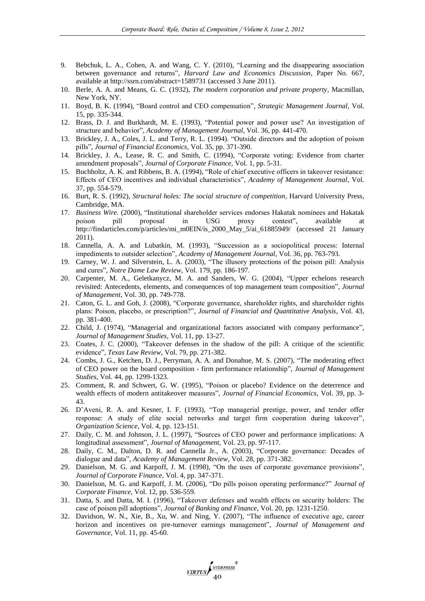- 9. Bebchuk, L. A., Cohen, A. and Wang, C. Y. (2010), "Learning and the disappearing association between governance and returns", *Harvard Law and Economics Discussion,* Paper No. 667, available at http://ssrn.com/abstract=1589731 (accessed 3 June 2011).
- 10. Berle, A. A. and Means, G. C. (1932), *The modern corporation and private property,* Macmillan, New York, NY.
- 11. Boyd, B. K. (1994), "Board control and CEO compensation", *Strategic Management Journal*, Vol. 15, pp. 335-344.
- 12. Brass, D. J. and Burkhardt, M. E. (1993), "Potential power and power use? An investigation of structure and behavior", *Academy of Management Journal*, Vol. 36, pp. 441-470.
- 13. Brickley, J. A., Coles, J. L. and Terry, R. L. (1994). "Outside directors and the adoption of poison pills", *Journal of Financial Economics,* Vol. 35, pp. 371-390.
- 14. Brickley, J. A., Lease, R. C. and Smith, C. (1994), "Corporate voting: Evidence from charter amendment proposals", *Journal of Corporate Finance,* Vol. 1, pp. 5-31.
- 15. Buchholtz, A. K. and Ribbens, B. A. (1994), "Role of chief executive officers in takeover resistance: Effects of CEO incentives and individual characteristics", *Academy of Management Journal*, Vol. 37, pp. 554-579.
- 16. Burt, R. S. (1992), *Structural holes: The social structure of competition,* Harvard University Press, Cambridge, MA.
- 17. *Business Wire.* (2000), "Institutional shareholder services endorses Hakatak nominees and Hakatak poison pill proposal in USG proxy contest", available at http://findarticles.com/p/articles/mi\_m0EIN/is\_2000\_May\_5/ai\_61885949/ (accessed 21 January 2011).
- 18. Cannella, A. A. and Lubatkin, M. (1993), "Succession as a sociopolitical process: Internal impediments to outsider selection", *Academy of Management Journal*, Vol. 36, pp. 763-793.
- 19. Carney, W. J. and Silverstein, L. A. (2003), "The illusory protections of the poison pill: Analysis and cures", *Notre Dame Law Review*, Vol. 179, pp. 186-197.
- 20. Carpenter, M. A., Geletkanycz, M. A. and Sanders, W. G. (2004), "Upper echelons research revisited: Antecedents, elements, and consequences of top management team composition", *Journal of Management*, Vol. 30, pp. 749-778.
- 21. Caton, G. L. and Goh, J. (2008), "Corporate governance, shareholder rights, and shareholder rights plans: Poison, placebo, or prescription?", *Journal of Financial and Quantitative Analysis*, Vol. 43, pp. 381-400.
- 22. Child, J. (1974), "Managerial and organizational factors associated with company performance", *Journal of Management Studies*, Vol. 11, pp. 13-27.
- 23. Coates, J. C. (2000), "Takeover defenses in the shadow of the pill: A critique of the scientific evidence", *Texas Law Review*, Vol. 79, pp. 271-382.
- 24. Combs, J. G., Ketchen, D. J., Perryman, A. A. and Donahue, M. S. (2007), "The moderating effect of CEO power on the board composition - firm performance relationship", *Journal of Management Studies*, Vol. 44, pp. 1299-1323.
- 25. Comment, R. and Schwert, G. W. (1995), "Poison or placebo? Evidence on the deterrence and wealth effects of modern antitakeover measures", *Journal of Financial Economics*, Vol. 39, pp. 3- 43.
- 26. D'Aveni, R. A. and Kesner, I. F. (1993), "Top managerial prestige, power, and tender offer response: A study of elite social networks and target firm cooperation during takeover", *Organization Science*, Vol. 4, pp. 123-151.
- 27. Daily, C. M. and Johnson, J. L. (1997), "Sources of CEO power and performance implications: A longitudinal assessment", *Journal of Management*, Vol. 23, pp. 97-117.
- 28. Daily, C. M., Dalton, D. R. and Cannella Jr., A. (2003), "Corporate governance: Decades of dialogue and data", *Academy of Management Review*, Vol. 28, pp. 371-382.
- 29. Danielson, M. G. and Karpoff, J. M. (1998), "On the uses of corporate governance provisions", *Journal of Corporate Finance,* Vol. 4, pp. 347-371.
- 30. Danielson, M. G. and Karpoff, J. M. (2006), "Do pills poison operating performance?" *Journal of Corporate Finance,* Vol. 12, pp. 536-559.
- 31. Datta, S. and Datta, M. I. (1996), "Takeover defenses and wealth effects on security holders: The case of poison pill adoptions", *Journal of Banking and Finance*, Vol. 20, pp. 1231-1250.
- 32. Davidson, W. N., Xie, B., Xu, W. and Ning, Y. (2007), "The influence of executive age, career horizon and incentives on pre-turnover earnings management", *Journal of Management and Governance*, Vol. 11, pp. 45-60.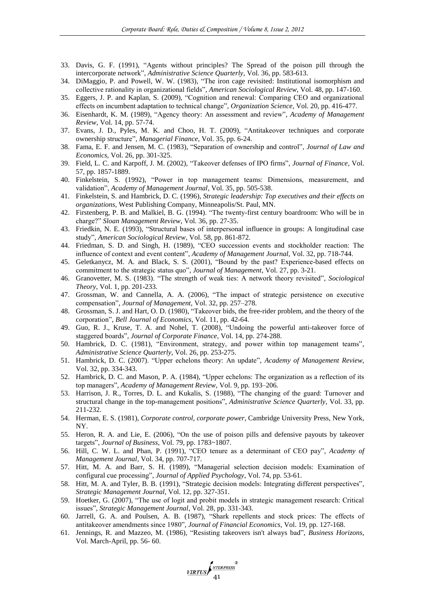- 33. Davis, G. F. (1991), "Agents without principles? The Spread of the poison pill through the intercorporate network", *Administrative Science Quarterly*, Vol. 36, pp. 583-613.
- 34. DiMaggio, P. and Powell, W. W. (1983), "The iron cage revisited: Institutional isomorphism and collective rationality in organizational fields", *American Sociological Review*, Vol. 48, pp. 147-160.
- 35. Eggers, J. P. and Kaplan, S. (2009), "Cognition and renewal: Comparing CEO and organizational effects on incumbent adaptation to technical change", *Organization Science*, Vol. 20, pp. 416-477.
- 36. Eisenhardt, K. M. (1989), "Agency theory: An assessment and review", *Academy of Management Review*, Vol. 14, pp. 57-74.
- 37. Evans, J. D., Pyles, M. K. and Choo, H. T. (2009), "Antitakeover techniques and corporate ownership structure", *Managerial Finance*, Vol. 35, pp. 6-24.
- 38. Fama, E. F. and Jensen, M. C. (1983), "Separation of ownership and control", *Journal of Law and Economics*, Vol. 26, pp. 301-325.
- 39. Field, L. C. and Karpoff, J. M. (2002), "Takeover defenses of IPO firms", *Journal of Finance*, Vol. 57, pp. 1857-1889.
- 40. Finkelstein, S. (1992), "Power in top management teams: Dimensions, measurement, and validation", *Academy of Management Journal*, Vol. 35, pp. 505-538.
- 41. Finkelstein, S. and Hambrick, D. C. (1996), *Strategic leadership: Top executives and their effects on organizations,* West Publishing Company, Minneapolis/St. Paul, MN.
- 42. Firstenberg, P. B. and Malkiel, B. G. (1994). "The twenty-first century boardroom: Who will be in charge?" *Sloan Management Review*, Vol. 36, pp. 27-35.
- 43. Friedkin, N. E. (1993), "Structural bases of interpersonal influence in groups: A longitudinal case study", *American Sociological Review*, Vol. 58, pp. 861-872.
- 44. Friedman, S. D. and Singh, H. (1989), "CEO succession events and stockholder reaction: The influence of context and event content", *Academy of Management Journal*, Vol. 32, pp. 718-744.
- 45. Geletkanycz, M. A. and Black, S. S. (2001), "Bound by the past? Experience-based effects on commitment to the strategic status quo", *Journal of Management*, Vol. 27, pp. 3-21.
- 46. Granovetter, M. S. (1983). "The strength of weak ties: A network theory revisited", *Sociological Theory*, Vol. 1, pp. 201-233.
- 47. Grossman, W. and Cannella, A. A. (2006), "The impact of strategic persistence on executive compensation", *Journal of Management,* Vol. 32, pp. 257–278.
- 48. Grossman, S. J. and Hart, O. D. (1980), "Takeover bids, the free-rider problem, and the theory of the corporation", *Bell Journal of Economics*, Vol. 11, pp. 42-64.
- 49. Guo, R. J., Kruse, T. A. and Nohel, T. (2008), "Undoing the powerful anti-takeover force of staggered boards", *Journal of Corporate Finance,* Vol. 14, pp. 274-288.
- 50. Hambrick, D. C. (1981), "Environment, strategy, and power within top management teams", *Administrative Science Quarterly*, Vol. 26, pp. 253-275.
- 51. Hambrick, D. C. (2007). "Upper echelons theory: An update", *Academy of Management Review*, Vol. 32, pp. 334-343.
- 52. Hambrick, D. C. and Mason, P. A. (1984), "Upper echelons: The organization as a reflection of its top managers", *Academy of Management Review*, Vol. 9, pp. 193–206.
- 53. Harrison, J. R., Torres, D. L. and Kukalis, S. (1988), "The changing of the guard: Turnover and structural change in the top-management positions", *Administrative Science Quarterly*, Vol. 33, pp. 211-232.
- 54. Herman, E. S. (1981), *Corporate control, corporate power*, Cambridge University Press, New York, NY.
- 55. Heron, R. A. and Lie, E. (2006), "On the use of poison pills and defensive payouts by takeover targets", *Journal of Business*, Vol. 79, pp. 1783~1807.
- 56. Hill, C. W. L. and Phan, P. (1991), "CEO tenure as a determinant of CEO pay", *Academy of Management Journal*, Vol. 34, pp. 707-717.
- 57. Hitt, M. A. and Barr, S. H. (1989), "Managerial selection decision models: Examination of configural cue processing", *Journal of Applied Psychology*, Vol. 74, pp. 53-61.
- 58. Hitt, M. A. and Tyler, B. B. (1991), "Strategic decision models: Integrating different perspectives", *Strategic Management Journal*, Vol. 12, pp. 327-351.
- 59. Hoetker, G. (2007), "The use of logit and probit models in strategic management research: Critical issues", *Strategic Management Journal*, Vol. 28, pp. 331-343.
- 60. Jarrell, G. A. and Poulsen, A. B. (1987), "Shark repellents and stock prices: The effects of antitakeover amendments since 1980", *Journal of Financial Economics,* Vol. 19, pp. 127-168.
- 61. Jennings, R. and Mazzeo, M. (1986), "Resisting takeovers isn't always bad", *Business Horizons*, Vol. March-April, pp. 56- 60.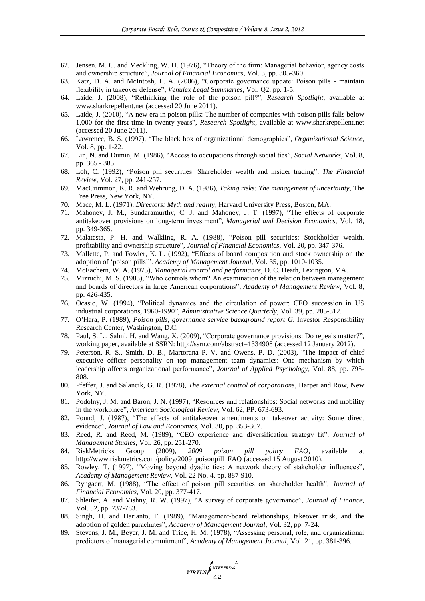- 62. Jensen. M. C. and Meckling, W. H. (1976), "Theory of the firm: Managerial behavior, agency costs and ownership structure", *Journal of Financial Economics*, Vol. 3, pp. 305-360.
- 63. Katz, D. A. and McIntosh, L. A. (2006), "Corporate governance update: Poison pills maintain flexibility in takeover defense", *Venulex Legal Summaries*, Vol. Q2, pp. 1-5.
- 64. Laide, J. (2008), "Rethinking the role of the poison pill?", *Research Spotlight*, available at www.sharkrepellent.net (accessed 20 June 2011).
- 65. Laide, J. (2010), "A new era in poison pills: The number of companies with poison pills falls below 1,000 for the first time in twenty years", *Research Spotlight*, available at www.sharkrepellent.net (accessed 20 June 2011).
- 66. Lawrence, B. S. (1997), "The black box of organizational demographics", *Organizational Science*, Vol. 8, pp. 1-22.
- 67. Lin, N. and Dumin, M. (1986), "Access to occupations through social ties", *Social Networks,* Vol. 8, pp. 365 - 385.
- 68. Loh, C. (1992), "Poison pill securities: Shareholder wealth and insider trading", *The Financial Review*, Vol. 27, pp. 241-257.
- 69. MacCrimmon, K. R. and Wehrung, D. A. (1986), *Taking risks: The management of uncertainty*, The Free Press, New York, NY.
- 70. Mace, M. L. (1971), *Directors: Myth and reality,* Harvard University Press, Boston, MA.
- 71. Mahoney, J. M., Sundaramurthy, C. J. and Mahoney, J. T. (1997), "The effects of corporate antitakeover provisions on long-term investment", *Managerial and Decision Economics,* Vol. 18, pp. 349-365.
- 72. Malatesta, P. H. and Walkling, R. A. (1988), "Poison pill securities: Stockholder wealth, profitability and ownership structure", *Journal of Financial Economics*, Vol. 20, pp. 347-376.
- 73. Mallette, P. and Fowler, K. L. (1992), "Effects of board composition and stock ownership on the adoption of 'poison pills'". *Academy of Management Journal,* Vol. 35, pp. 1010-1035.
- 74. McEachern, W. A. (1975), *Managerial control and performance,* D. C. Heath, Lexington, MA.
- 75. Mizruchi, M. S. (1983), "Who controls whom? An examination of the relation between management and boards of directors in large American corporations", *Academy of Management Review*, Vol. 8, pp. 426-435.
- 76. Ocasio, W. (1994), "Political dynamics and the circulation of power: CEO succession in US industrial corporations, 1960-1990", *Administrative Science Quarterly*, Vol. 39, pp. 285-312.
- 77. O'Hara, P. (1989), *Poison pills, governance service background report G*. Investor Responsibility Research Center, Washington, D.C.
- 78. Paul, S. L., Sahni, H. and Wang, X. (2009), "Corporate governance provisions: Do repeals matter?", working paper, available at SSRN: http://ssrn.com/abstract=1334908 (accessed 12 January 2012)*.*
- 79. Peterson, R. S., Smith, D. B., Martorana P. V. and Owens, P. D. (2003), "The impact of chief executive officer personality on top management team dynamics: One mechanism by which leadership affects organizational performance", *Journal of Applied Psychology,* Vol. 88, pp. 795- 808.
- 80. Pfeffer, J. and Salancik, G. R. (1978), *The external control of corporations,* Harper and Row, New York, NY.
- 81. Podolny, J. M. and Baron, J. N. (1997), "Resources and relationships: Social networks and mobility in the workplace", *American Sociological Review,* Vol. 62, PP. 673-693.
- 82. Pound, J. (1987), "The effects of antitakeover amendments on takeover activity: Some direct evidence", *Journal of Law and Economics,* Vol. 30, pp. 353-367.
- 83. Reed, R. and Reed, M. (1989), "CEO experience and diversification strategy fit", *Journal of Management Studies*, Vol. 26, pp. 251-270.
- 84. RiskMetricks Group (2009), *2009 poison pill policy FAQ*, available at http://www.riskmetrics.com/policy/2009\_poisonpill\_FAQ (accessed 15 August 2010).
- 85. Rowley, T. (1997), "Moving beyond dyadic ties: A network theory of stakeholder influences", *Academy of Management Review*, Vol. 22 No. 4, pp. 887-910.
- 86. Ryngaert, M. (1988), "The effect of poison pill securities on shareholder health", *Journal of Financial Economics*, Vol. 20, pp. 377-417.
- 87. Shleifer, A. and Vishny, R. W. (1997), "A survey of corporate governance", *Journal of Finance,* Vol. 52, pp. 737-783.
- 88. Singh, H. and Harianto, F. (1989), "Management-board relationships, takeover rrisk, and the adoption of golden parachutes", *Academy of Management Journal*, Vol. 32, pp. 7-24.
- 89. Stevens, J. M., Beyer, J. M. and Trice, H. M. (1978), "Assessing personal, role, and organizational predictors of managerial commitment", *Academy of Management Journal*, Vol. 21, pp. 381-396.